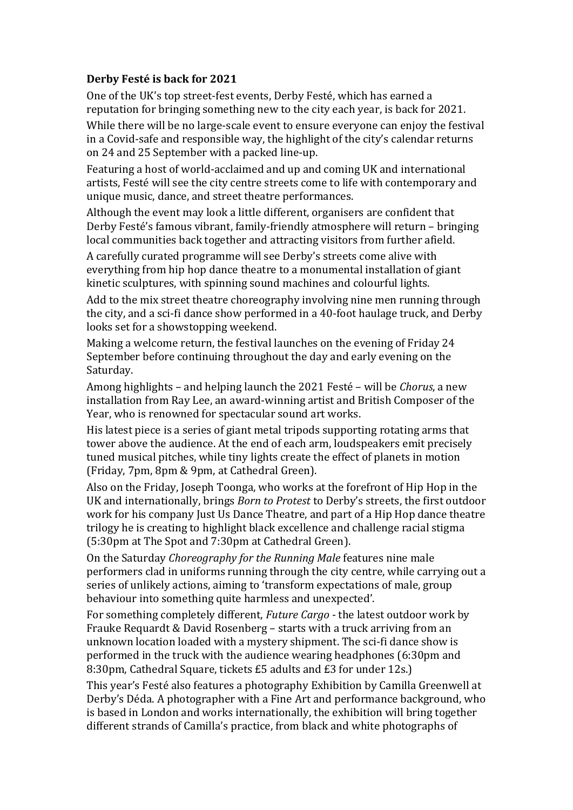## **Derby Festé is back for 2021**

One of the UK's top street-fest events, Derby Festé, which has earned a reputation for bringing something new to the city each year, is back for 2021.

While there will be no large-scale event to ensure everyone can enjoy the festival in a Covid-safe and responsible way, the highlight of the city's calendar returns on 24 and 25 September with a packed line-up.

Featuring a host of world-acclaimed and up and coming UK and international artists, Festé will see the city centre streets come to life with contemporary and unique music, dance, and street theatre performances.

Although the event may look a little different, organisers are confident that Derby Festé's famous vibrant, family-friendly atmosphere will return – bringing local communities back together and attracting visitors from further afield.

A carefully curated programme will see Derby's streets come alive with everything from hip hop dance theatre to a monumental installation of giant kinetic sculptures, with spinning sound machines and colourful lights.

Add to the mix street theatre choreography involving nine men running through the city, and a sci-fi dance show performed in a 40-foot haulage truck, and Derby looks set for a showstopping weekend.

Making a welcome return, the festival launches on the evening of Friday 24 September before continuing throughout the day and early evening on the Saturday.

Among highlights – and helping launch the 2021 Festé – will be *Chorus*, a new installation from Ray Lee, an award-winning artist and British Composer of the Year, who is renowned for spectacular sound art works.

His latest piece is a series of giant metal tripods supporting rotating arms that tower above the audience. At the end of each arm, loudspeakers emit precisely tuned musical pitches, while tiny lights create the effect of planets in motion (Friday, 7pm, 8pm & 9pm, at Cathedral Green).

Also on the Friday, Joseph Toonga, who works at the forefront of Hip Hop in the UK and internationally, brings *Born to Protest* to Derby's streets, the first outdoor work for his company Just Us Dance Theatre, and part of a Hip Hop dance theatre trilogy he is creating to highlight black excellence and challenge racial stigma (5:30pm at The Spot and 7:30pm at Cathedral Green).

On the Saturday *Choreography for the Running Male* features nine male performers clad in uniforms running through the city centre, while carrying out a series of unlikely actions, aiming to 'transform expectations of male, group behaviour into something quite harmless and unexpected'.

For something completely different, *Future Cargo* - the latest outdoor work by Frauke Requardt & David Rosenberg – starts with a truck arriving from an unknown location loaded with a mystery shipment. The sci-fi dance show is performed in the truck with the audience wearing headphones (6:30pm and 8:30pm, Cathedral Square, tickets £5 adults and £3 for under 12s.)

This year's Festé also features a photography Exhibition by Camilla Greenwell at Derby's Déda. A photographer with a Fine Art and performance background, who is based in London and works internationally, the exhibition will bring together different strands of Camilla's practice, from black and white photographs of